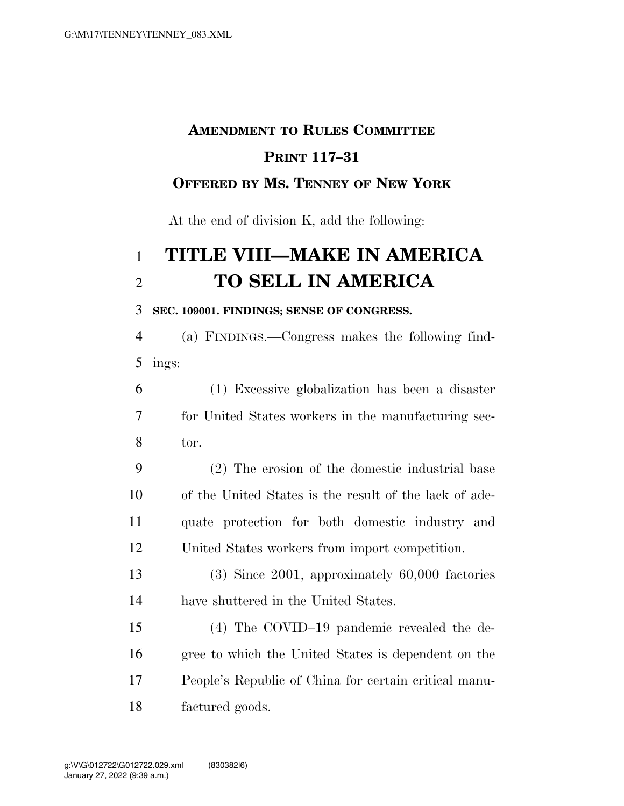# **AMENDMENT TO RULES COMMITTEE PRINT 117–31**

### **OFFERED BY MS. TENNEY OF NEW YORK**

At the end of division K, add the following:

## **TITLE VIII—MAKE IN AMERICA TO SELL IN AMERICA**

#### **SEC. 109001. FINDINGS; SENSE OF CONGRESS.**

 (a) FINDINGS.—Congress makes the following find-ings:

 (1) Excessive globalization has been a disaster for United States workers in the manufacturing sec-tor.

 (2) The erosion of the domestic industrial base of the United States is the result of the lack of ade- quate protection for both domestic industry and United States workers from import competition.

 (3) Since 2001, approximately 60,000 factories have shuttered in the United States.

 (4) The COVID–19 pandemic revealed the de- gree to which the United States is dependent on the People's Republic of China for certain critical manu-factured goods.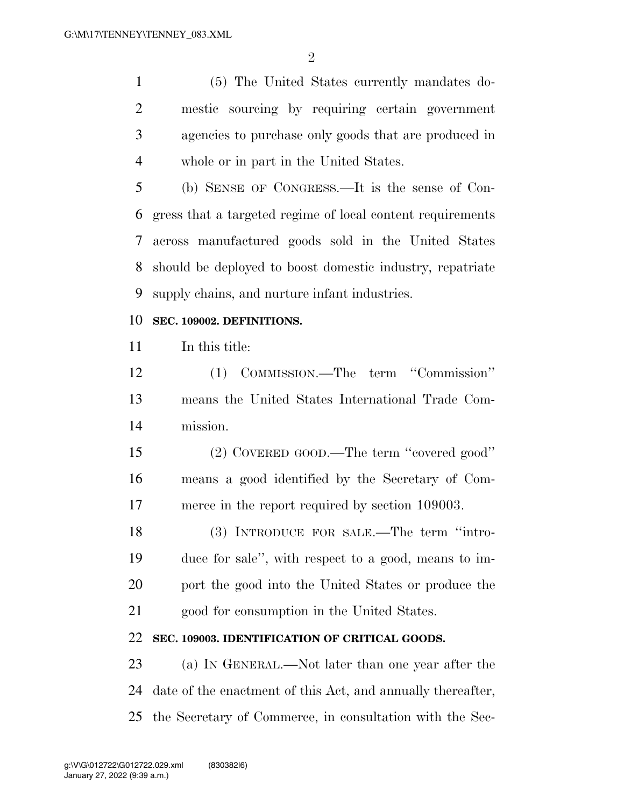$\mathfrak{D}$ 

 (5) The United States currently mandates do- mestic sourcing by requiring certain government agencies to purchase only goods that are produced in whole or in part in the United States.

 (b) SENSE OF CONGRESS.—It is the sense of Con- gress that a targeted regime of local content requirements across manufactured goods sold in the United States should be deployed to boost domestic industry, repatriate supply chains, and nurture infant industries.

#### **SEC. 109002. DEFINITIONS.**

In this title:

 (1) COMMISSION.—The term ''Commission'' means the United States International Trade Com-mission.

 (2) COVERED GOOD.—The term ''covered good'' means a good identified by the Secretary of Com-merce in the report required by section 109003.

 (3) INTRODUCE FOR SALE.—The term ''intro- duce for sale'', with respect to a good, means to im- port the good into the United States or produce the good for consumption in the United States.

#### **SEC. 109003. IDENTIFICATION OF CRITICAL GOODS.**

 (a) IN GENERAL.—Not later than one year after the date of the enactment of this Act, and annually thereafter, the Secretary of Commerce, in consultation with the Sec-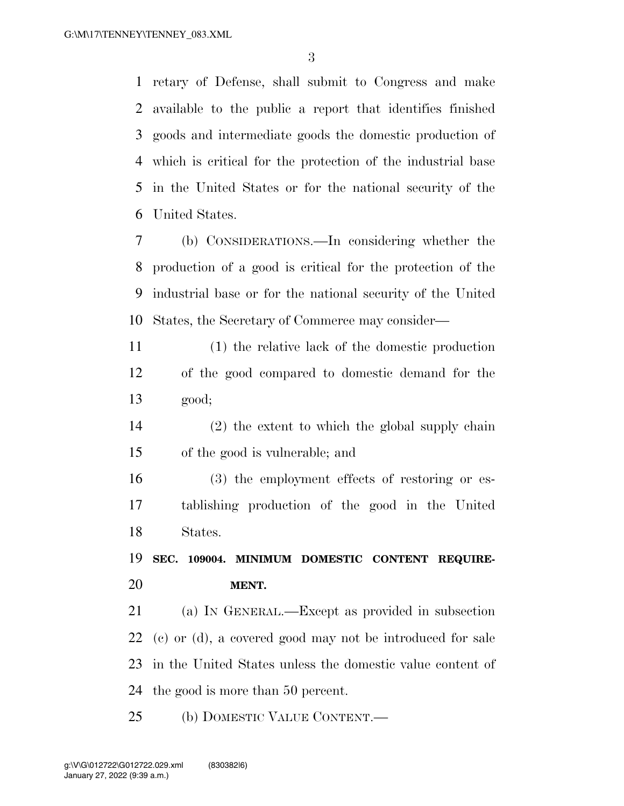retary of Defense, shall submit to Congress and make available to the public a report that identifies finished goods and intermediate goods the domestic production of which is critical for the protection of the industrial base in the United States or for the national security of the United States.

 (b) CONSIDERATIONS.—In considering whether the production of a good is critical for the protection of the industrial base or for the national security of the United States, the Secretary of Commerce may consider—

 (1) the relative lack of the domestic production of the good compared to domestic demand for the good;

 (2) the extent to which the global supply chain of the good is vulnerable; and

 (3) the employment effects of restoring or es- tablishing production of the good in the United States.

 **SEC. 109004. MINIMUM DOMESTIC CONTENT REQUIRE-MENT.** 

 (a) IN GENERAL.—Except as provided in subsection (c) or (d), a covered good may not be introduced for sale in the United States unless the domestic value content of the good is more than 50 percent.

(b) DOMESTIC VALUE CONTENT.—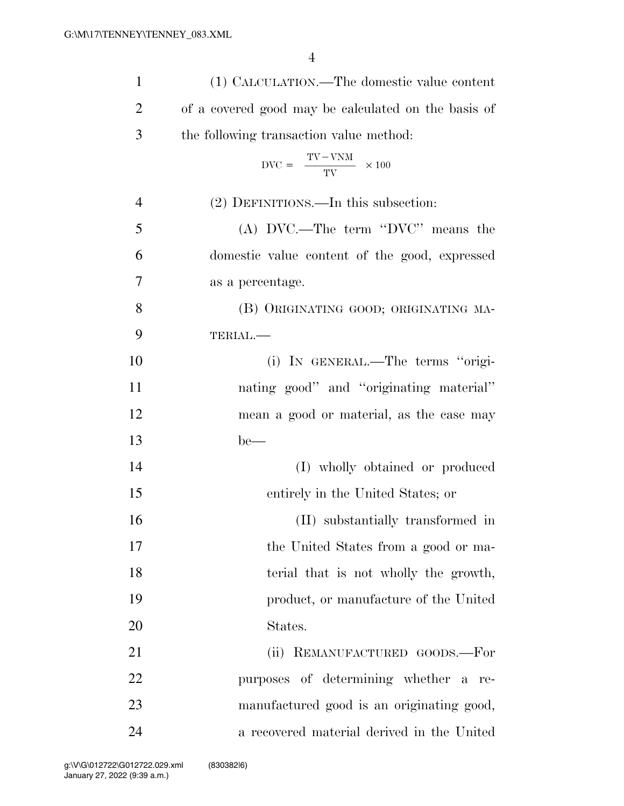| $\mathbf{1}$   | (1) CALCULATION.—The domestic value content                        |
|----------------|--------------------------------------------------------------------|
| $\overline{2}$ | of a covered good may be calculated on the basis of                |
| 3              | the following transaction value method:                            |
|                | $\text{DVC} = \frac{\text{TV} - \text{VNM}}{\text{TV}} \times 100$ |
| $\overline{4}$ | (2) DEFINITIONS.—In this subsection:                               |
| 5              | (A) DVC.—The term "DVC" means the                                  |
| 6              | domestic value content of the good, expressed                      |
| 7              | as a percentage.                                                   |
| 8              | (B) ORIGINATING GOOD; ORIGINATING MA-                              |
| 9              | TERIAL.-                                                           |
| 10             | (i) IN GENERAL.—The terms "origi-                                  |
| 11             | nating good" and "originating material"                            |
| 12             | mean a good or material, as the case may                           |
| 13             | $be$ —                                                             |
| 14             | (I) wholly obtained or produced                                    |
| 15             | entirely in the United States; or                                  |
| 16             | (II) substantially transformed in                                  |
| 17             | the United States from a good or ma-                               |
| 18             | terial that is not wholly the growth,                              |
| 19             | product, or manufacture of the United                              |
| 20             | States.                                                            |
| 21             | (ii) REMANUFACTURED GOODS.-For                                     |
| 22             | purposes of determining whether a re-                              |
| 23             | manufactured good is an originating good,                          |
| 24             | a recovered material derived in the United                         |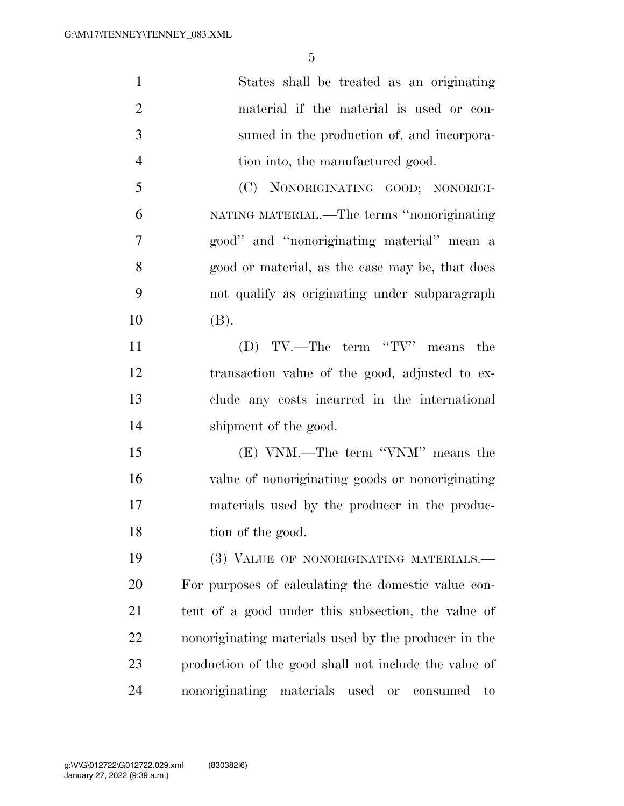| $\mathbf{1}$   | States shall be treated as an originating                          |
|----------------|--------------------------------------------------------------------|
| $\overline{2}$ | material if the material is used or con-                           |
| 3              | sumed in the production of, and incorpora-                         |
| $\overline{4}$ | tion into, the manufactured good.                                  |
| 5              | (C) NONORIGINATING GOOD; NONORIGI-                                 |
| 6              | NATING MATERIAL.—The terms "nonoriginating                         |
| 7              | good" and "nonoriginating material" mean a                         |
| 8              | good or material, as the case may be, that does                    |
| 9              | not qualify as originating under subparagraph                      |
| 10             | (B).                                                               |
| 11             | (D) TV.—The term "TV" means the                                    |
| 12             | transaction value of the good, adjusted to ex-                     |
| 13             | clude any costs incurred in the international                      |
| 14             | shipment of the good.                                              |
| 15             | (E) VNM.—The term "VNM" means the                                  |
| 16             | value of nonoriginating goods or nonoriginating                    |
| 17             | materials used by the producer in the produc-                      |
| 18             | tion of the good.                                                  |
| 19             | (3) VALUE OF NONORIGINATING MATERIALS.-                            |
| 20             | For purposes of calculating the domestic value con-                |
| 21             | tent of a good under this subsection, the value of                 |
| 22             | nonoriginating materials used by the producer in the               |
| 23             | production of the good shall not include the value of              |
| 24             | materials<br>nonoriginating<br>used<br>consumed<br><b>or</b><br>to |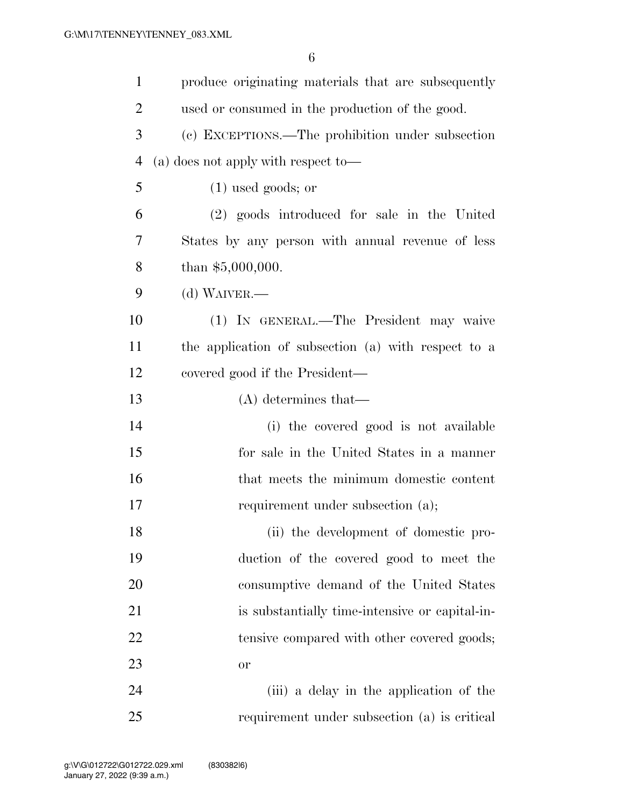| $\mathbf{1}$   | produce originating materials that are subsequently |
|----------------|-----------------------------------------------------|
| $\overline{2}$ | used or consumed in the production of the good.     |
| 3              | (c) EXCEPTIONS.—The prohibition under subsection    |
| 4              | $(a)$ does not apply with respect to-               |
| 5              | $(1)$ used goods; or                                |
| 6              | (2) goods introduced for sale in the United         |
| 7              | States by any person with annual revenue of less    |
| 8              | than $$5,000,000$ .                                 |
| 9              | $(d)$ WAIVER.—                                      |
| 10             | (1) IN GENERAL.—The President may waive             |
| 11             | the application of subsection (a) with respect to a |
| 12             | covered good if the President—                      |
| 13             | $(A)$ determines that—                              |
| 14             | (i) the covered good is not available               |
| 15             | for sale in the United States in a manner           |
| 16             | that meets the minimum domestic content             |
| 17             | requirement under subsection (a);                   |
| 18             | (ii) the development of domestic pro-               |
| 19             | duction of the covered good to meet the             |
| 20             | consumptive demand of the United States             |
| 21             | is substantially time-intensive or capital-in-      |
| 22             | tensive compared with other covered goods;          |
| 23             | or                                                  |
| 24             | (iii) a delay in the application of the             |
| 25             | requirement under subsection (a) is critical        |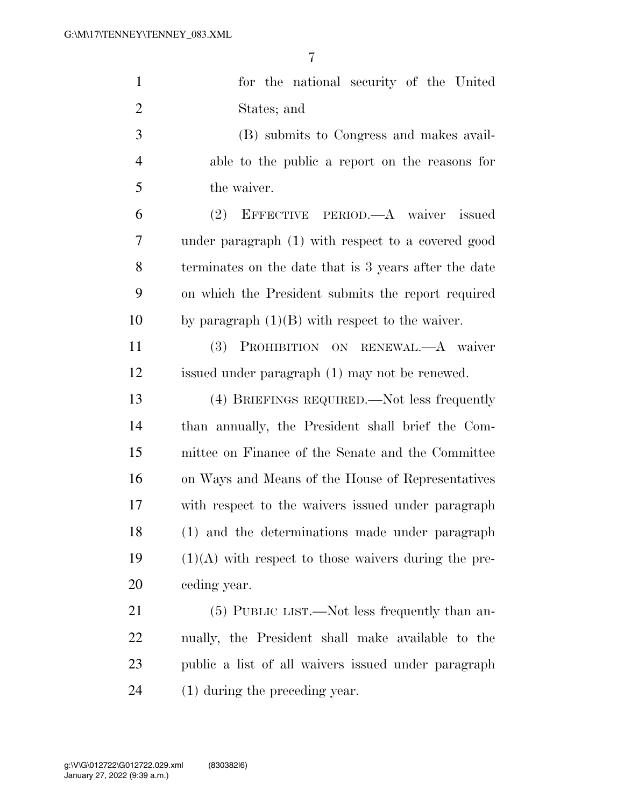| $\mathbf{1}$   | for the national security of the United                |
|----------------|--------------------------------------------------------|
| $\overline{2}$ | States; and                                            |
| 3              | (B) submits to Congress and makes avail-               |
| $\overline{4}$ | able to the public a report on the reasons for         |
| 5              | the waiver.                                            |
| 6              | (2) EFFECTIVE PERIOD.—A waiver issued                  |
| 7              | under paragraph (1) with respect to a covered good     |
| 8              | terminates on the date that is 3 years after the date  |
| 9              | on which the President submits the report required     |
| 10             | by paragraph $(1)(B)$ with respect to the waiver.      |
| 11             | (3) PROHIBITION ON RENEWAL.-A waiver                   |
| 12             | issued under paragraph (1) may not be renewed.         |
| 13             | (4) BRIEFINGS REQUIRED.—Not less frequently            |
| 14             | than annually, the President shall brief the Com-      |
| 15             | mittee on Finance of the Senate and the Committee      |
| 16             | on Ways and Means of the House of Representatives      |
| 17             | with respect to the waivers issued under paragraph     |
| 18             | (1) and the determinations made under paragraph        |
| 19             | $(1)(A)$ with respect to those waivers during the pre- |
| 20             | ceding year.                                           |
| 21             | (5) PUBLIC LIST.—Not less frequently than an-          |
| 22             | nually, the President shall make available to the      |
| 23             | public a list of all waivers issued under paragraph    |
| 24             | $(1)$ during the preceding year.                       |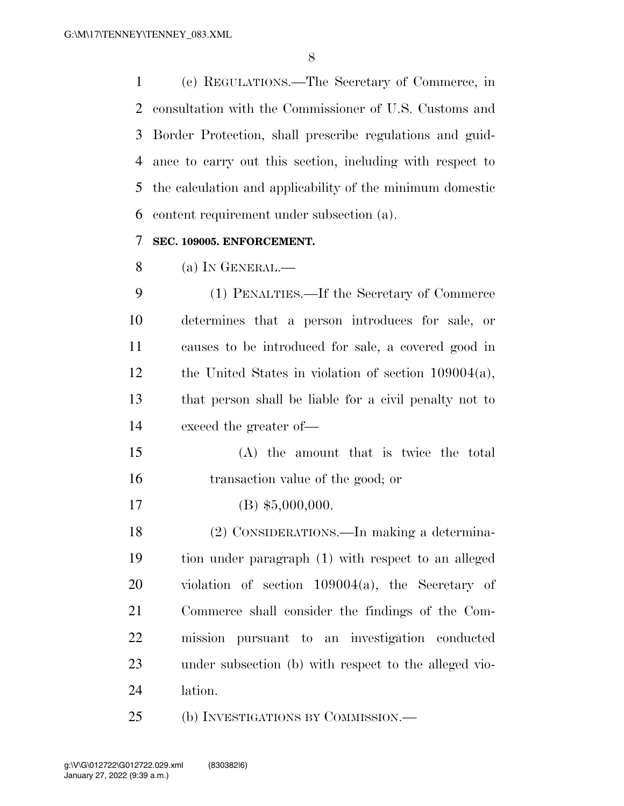(e) REGULATIONS.—The Secretary of Commerce, in consultation with the Commissioner of U.S. Customs and Border Protection, shall prescribe regulations and guid- ance to carry out this section, including with respect to the calculation and applicability of the minimum domestic content requirement under subsection (a).

#### **SEC. 109005. ENFORCEMENT.**

(a) IN GENERAL.—

 (1) PENALTIES.—If the Secretary of Commerce determines that a person introduces for sale, or causes to be introduced for sale, a covered good in the United States in violation of section 109004(a), that person shall be liable for a civil penalty not to exceed the greater of—

- (A) the amount that is twice the total transaction value of the good; or
- 17 (B) \$5,000,000.

 (2) CONSIDERATIONS.—In making a determina- tion under paragraph (1) with respect to an alleged violation of section 109004(a), the Secretary of Commerce shall consider the findings of the Com- mission pursuant to an investigation conducted under subsection (b) with respect to the alleged vio-lation.

(b) INVESTIGATIONS BY COMMISSION.—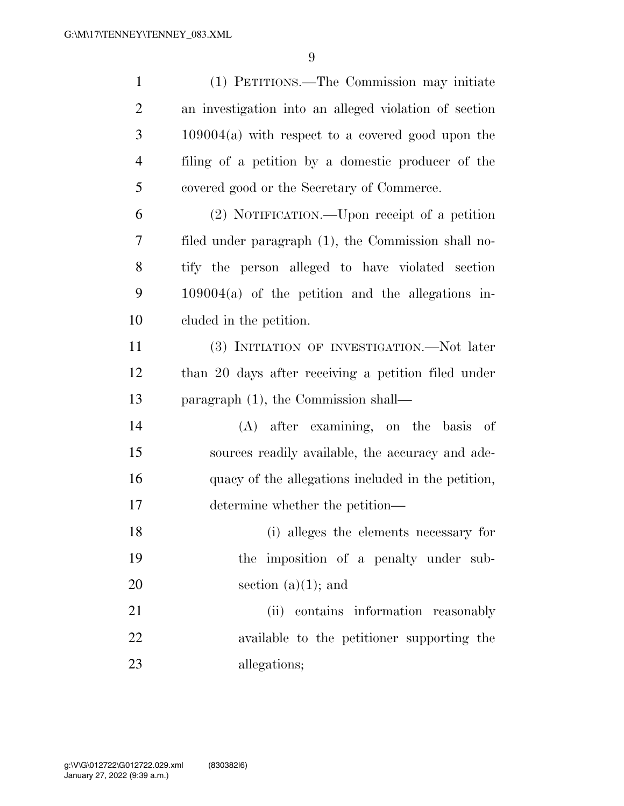| $\mathbf{1}$   | (1) PETITIONS.—The Commission may initiate            |
|----------------|-------------------------------------------------------|
| $\overline{2}$ | an investigation into an alleged violation of section |
| $\mathfrak{Z}$ | $109004(a)$ with respect to a covered good upon the   |
| $\overline{4}$ | filing of a petition by a domestic producer of the    |
| 5              | covered good or the Secretary of Commerce.            |
| 6              | (2) NOTIFICATION.—Upon receipt of a petition          |
| 7              | filed under paragraph (1), the Commission shall no-   |
| 8              | tify the person alleged to have violated section      |
| 9              | $109004(a)$ of the petition and the allegations in-   |
| 10             | eluded in the petition.                               |
| 11             | (3) INITIATION OF INVESTIGATION.—Not later            |
| 12             | than 20 days after receiving a petition filed under   |
| 13             | paragraph (1), the Commission shall—                  |
| 14             | (A) after examining, on the basis<br>- of             |
| 15             | sources readily available, the accuracy and ade-      |
| 16             | quacy of the allegations included in the petition,    |
| 17             | determine whether the petition—                       |
| 18             | (i) alleges the elements necessary for                |
| 19             | the imposition of a penalty under sub-                |
| 20             | section $(a)(1)$ ; and                                |
| 21             | (ii) contains information reasonably                  |
| 22             | available to the petitioner supporting the            |
| 23             | allegations;                                          |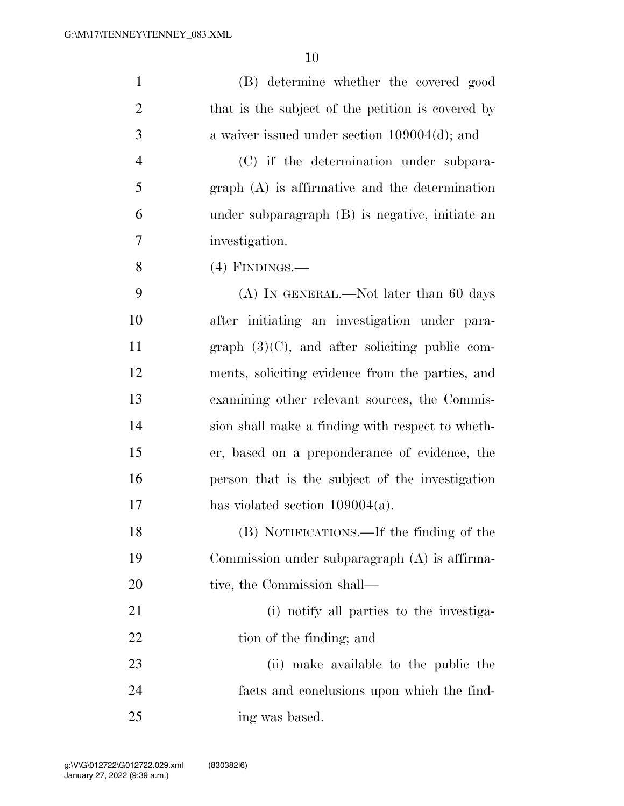| $\mathbf{1}$   | (B) determine whether the covered good            |
|----------------|---------------------------------------------------|
| $\overline{2}$ | that is the subject of the petition is covered by |
| 3              | a waiver issued under section $109004(d)$ ; and   |
| $\overline{4}$ | (C) if the determination under subpara-           |
| 5              | $graph(A)$ is affirmative and the determination   |
| 6              | under subparagraph (B) is negative, initiate an   |
| 7              | investigation.                                    |
| 8              | $(4)$ FINDINGS.—                                  |
| 9              | $(A)$ IN GENERAL.—Not later than 60 days          |
| 10             | after initiating an investigation under para-     |
| 11             | graph $(3)(C)$ , and after soliciting public com- |
| 12             | ments, soliciting evidence from the parties, and  |
| 13             | examining other relevant sources, the Commis-     |
| 14             | sion shall make a finding with respect to wheth-  |
| 15             | er, based on a preponderance of evidence, the     |
| 16             | person that is the subject of the investigation   |
| 17             | has violated section $109004(a)$ .                |
| 18             | (B) NOTIFICATIONS.—If the finding of the          |
| 19             | Commission under subparagraph (A) is affirma-     |
| 20             | tive, the Commission shall—                       |
| 21             | (i) notify all parties to the investiga-          |
| 22             | tion of the finding; and                          |
| 23             | (ii) make available to the public the             |
| 24             | facts and conclusions upon which the find-        |
| 25             | ing was based.                                    |